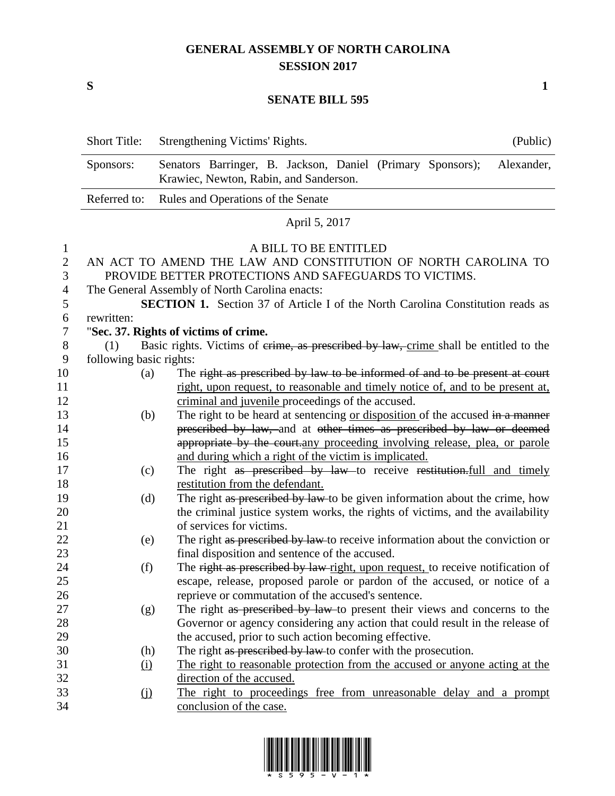## **GENERAL ASSEMBLY OF NORTH CAROLINA SESSION 2017**

**S 1**

## **SENATE BILL 595**

|                | <b>Short Title:</b>     | (Public)<br>Strengthening Victims' Rights.                                                                         |
|----------------|-------------------------|--------------------------------------------------------------------------------------------------------------------|
|                | Sponsors:               | Senators Barringer, B. Jackson, Daniel (Primary Sponsors);<br>Alexander,<br>Krawiec, Newton, Rabin, and Sanderson. |
|                | Referred to:            | Rules and Operations of the Senate                                                                                 |
|                |                         | April 5, 2017                                                                                                      |
| $\mathbf{1}$   |                         | A BILL TO BE ENTITLED                                                                                              |
| $\overline{2}$ |                         | AN ACT TO AMEND THE LAW AND CONSTITUTION OF NORTH CAROLINA TO                                                      |
| 3              |                         | PROVIDE BETTER PROTECTIONS AND SAFEGUARDS TO VICTIMS.                                                              |
| $\overline{4}$ |                         | The General Assembly of North Carolina enacts:                                                                     |
| 5              |                         | <b>SECTION 1.</b> Section 37 of Article I of the North Carolina Constitution reads as                              |
| 6              | rewritten:              |                                                                                                                    |
| $\tau$         |                         | "Sec. 37. Rights of victims of crime.                                                                              |
| 8              | (1)                     | Basic rights. Victims of erime, as prescribed by law, crime shall be entitled to the                               |
| 9              | following basic rights: |                                                                                                                    |
| 10             | (a)                     | The right as prescribed by law to be informed of and to be present at court                                        |
| 11             |                         | right, upon request, to reasonable and timely notice of, and to be present at,                                     |
| 12             |                         | criminal and juvenile proceedings of the accused.                                                                  |
| 13             | (b)                     | The right to be heard at sentencing or disposition of the accused in a manner                                      |
| 14             |                         | prescribed by law, and at other times as prescribed by law or deemed                                               |
| 15             |                         | appropriate by the court.any proceeding involving release, plea, or parole                                         |
| 16             |                         | and during which a right of the victim is implicated.                                                              |
| 17             | (c)                     | The right as prescribed by law to receive restitution.full and timely                                              |
| 18             |                         | restitution from the defendant.                                                                                    |
| 19             | (d)                     | The right as prescribed by law to be given information about the crime, how                                        |
| 20             |                         | the criminal justice system works, the rights of victims, and the availability                                     |
| 21             |                         | of services for victims.                                                                                           |
| 22             | (e)                     | The right as prescribed by law to receive information about the conviction or                                      |
| 23             |                         | final disposition and sentence of the accused.                                                                     |
| 24             | (f)                     | The right as prescribed by law-right, upon request, to receive notification of                                     |
| 25             |                         | escape, release, proposed parole or pardon of the accused, or notice of a                                          |
| 26             |                         | reprieve or commutation of the accused's sentence.                                                                 |
| 27             | (g)                     | The right as prescribed by law to present their views and concerns to the                                          |
| 28             |                         | Governor or agency considering any action that could result in the release of                                      |
| 29             |                         | the accused, prior to such action becoming effective.                                                              |
| 30             | (h)                     | The right as prescribed by law to confer with the prosecution.                                                     |
| 31             | <u>(i)</u>              | The right to reasonable protection from the accused or anyone acting at the                                        |
| 32             |                         | direction of the accused.                                                                                          |
| 33             | $\Omega$                | The right to proceedings free from unreasonable delay and a prompt                                                 |
| 34             |                         | conclusion of the case.                                                                                            |